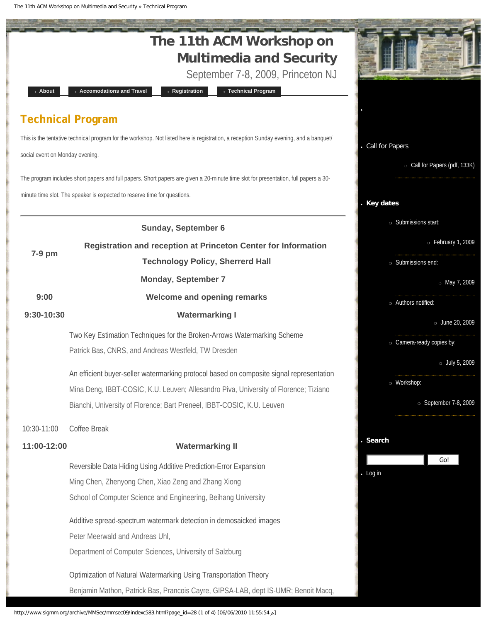The 11th ACM Workshop on Multimedia and Security » Technical Program

<span id="page-0-0"></span>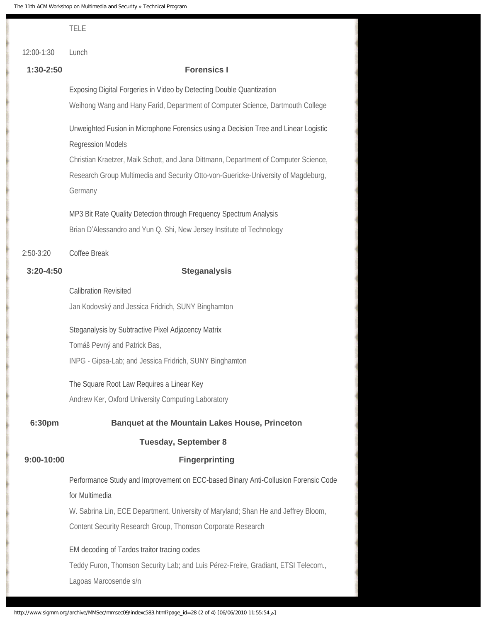|               | <b>TELE</b>                                                                                                     |
|---------------|-----------------------------------------------------------------------------------------------------------------|
| 12:00-1:30    | Lunch                                                                                                           |
| $1:30-2:50$   | <b>Forensics I</b>                                                                                              |
|               | Exposing Digital Forgeries in Video by Detecting Double Quantization                                            |
|               | Weihong Wang and Hany Farid, Department of Computer Science, Dartmouth College                                  |
|               | Unweighted Fusion in Microphone Forensics using a Decision Tree and Linear Logistic<br><b>Regression Models</b> |
|               | Christian Kraetzer, Maik Schott, and Jana Dittmann, Department of Computer Science,                             |
|               | Research Group Multimedia and Security Otto-von-Guericke-University of Magdeburg,<br>Germany                    |
|               | MP3 Bit Rate Quality Detection through Frequency Spectrum Analysis                                              |
|               | Brian D'Alessandro and Yun Q. Shi, New Jersey Institute of Technology                                           |
| $2:50-3:20$   | Coffee Break                                                                                                    |
| $3:20 - 4:50$ | <b>Steganalysis</b>                                                                                             |
|               | <b>Calibration Revisited</b>                                                                                    |
|               | Jan Kodovský and Jessica Fridrich, SUNY Binghamton                                                              |
|               | Steganalysis by Subtractive Pixel Adjacency Matrix                                                              |
|               | Tomáš Pevný and Patrick Bas,                                                                                    |
|               | INPG - Gipsa-Lab; and Jessica Fridrich, SUNY Binghamton                                                         |
|               | The Square Root Law Requires a Linear Key                                                                       |
|               | Andrew Ker, Oxford University Computing Laboratory                                                              |
| 6:30pm        | <b>Banquet at the Mountain Lakes House, Princeton</b>                                                           |
|               | <b>Tuesday, September 8</b>                                                                                     |
| $9:00-10:00$  | <b>Fingerprinting</b>                                                                                           |
|               | Performance Study and Improvement on ECC-based Binary Anti-Collusion Forensic Code<br>for Multimedia            |
|               | W. Sabrina Lin, ECE Department, University of Maryland; Shan He and Jeffrey Bloom,                              |
|               | Content Security Research Group, Thomson Corporate Research                                                     |
|               | EM decoding of Tardos traitor tracing codes                                                                     |
|               | Teddy Furon, Thomson Security Lab; and Luis Pérez-Freire, Gradiant, ETSI Telecom.,<br>Lagoas Marcosende s/n     |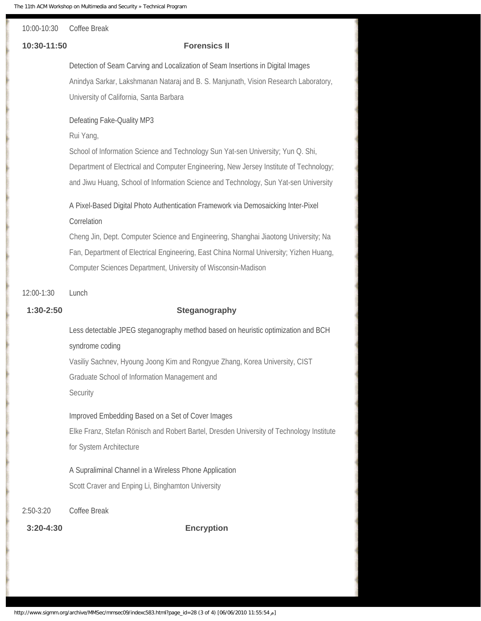# 10:00-10:30 Coffee Break

#### **10:30-11:50 Forensics II**

Detection of Seam Carving and Localization of Seam Insertions in Digital Images Anindya Sarkar, Lakshmanan Nataraj and B. S. Manjunath, Vision Research Laboratory, University of California, Santa Barbara

#### Defeating Fake-Quality MP3

Rui Yang,

School of Information Science and Technology Sun Yat-sen University; Yun Q. Shi, Department of Electrical and Computer Engineering, New Jersey Institute of Technology; and Jiwu Huang, School of Information Science and Technology, Sun Yat-sen University

## A Pixel-Based Digital Photo Authentication Framework via Demosaicking Inter-Pixel Correlation

Cheng Jin, Dept. Computer Science and Engineering, Shanghai Jiaotong University; Na Fan, Department of Electrical Engineering, East China Normal University; Yizhen Huang, Computer Sciences Department, University of Wisconsin-Madison

### 12:00-1:30 Lunch

### **1:30-2:50 Steganography**

Less detectable JPEG steganography method based on heuristic optimization and BCH syndrome coding Vasiliy Sachnev, Hyoung Joong Kim and Rongyue Zhang, Korea University, CIST Graduate School of Information Management and

**Security** 

#### Improved Embedding Based on a Set of Cover Images

Elke Franz, Stefan Rönisch and Robert Bartel, Dresden University of Technology Institute for System Architecture

A Supraliminal Channel in a Wireless Phone Application Scott Craver and Enping Li, Binghamton University

#### 2:50-3:20 Coffee Break

**3:20-4:30 Encryption**